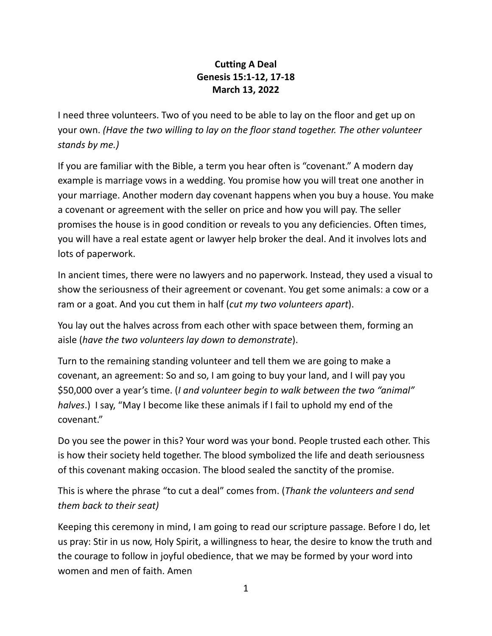## **Cutting A Deal Genesis 15:1-12, 17-18 March 13, 2022**

I need three volunteers. Two of you need to be able to lay on the floor and get up on your own. *(Have the two willing to lay on the floor stand together. The other volunteer stands by me.)*

If you are familiar with the Bible, a term you hear often is "covenant." A modern day example is marriage vows in a wedding. You promise how you will treat one another in your marriage. Another modern day covenant happens when you buy a house. You make a covenant or agreement with the seller on price and how you will pay. The seller promises the house is in good condition or reveals to you any deficiencies. Often times, you will have a real estate agent or lawyer help broker the deal. And it involves lots and lots of paperwork.

In ancient times, there were no lawyers and no paperwork. Instead, they used a visual to show the seriousness of their agreement or covenant. You get some animals: a cow or a ram or a goat. And you cut them in half (*cut my two volunteers apart*).

You lay out the halves across from each other with space between them, forming an aisle (*have the two volunteers lay down to demonstrate*).

Turn to the remaining standing volunteer and tell them we are going to make a covenant, an agreement: So and so, I am going to buy your land, and I will pay you \$50,000 over a year's time. (*I and volunteer begin to walk between the two "animal" halves*.) I say, "May I become like these animals if I fail to uphold my end of the covenant."

Do you see the power in this? Your word was your bond. People trusted each other. This is how their society held together. The blood symbolized the life and death seriousness of this covenant making occasion. The blood sealed the sanctity of the promise.

This is where the phrase "to cut a deal" comes from. (*Thank the volunteers and send them back to their seat)*

Keeping this ceremony in mind, I am going to read our scripture passage. Before I do, let us pray: Stir in us now, Holy Spirit, a willingness to hear, the desire to know the truth and the courage to follow in joyful obedience, that we may be formed by your word into women and men of faith. Amen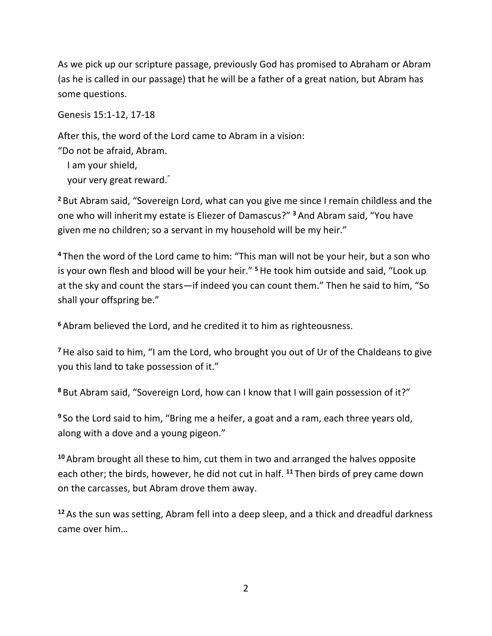As we pick up our scripture passage, previously God has promised to Abraham or Abram (as he is called in our passage) that he will be a father of a great nation, but Abram has some questions.

Genesis 15:1-12, 17-18

After this, the word of the Lord came to Abram in a vision:

"Do not be afraid, Abram.

I am your shield,

your very great reward."

**<sup>2</sup>** But Abram said, "Sovereign Lord, what can you give me since I remain childless and the one who will inheritmy estate is Eliezer of Damascus?" **<sup>3</sup>** And Abram said, "You have given me no children; so a servant in my household will be my heir."

**<sup>4</sup>** Then the word of the Lord came to him: "This man will not be your heir, but a son who is your own flesh and blood will be your heir." **<sup>5</sup>**He took him outside and said, "Look up at the sky and count the stars—if indeed you can count them." Then he said to him, "So shall your offspring be."

**<sup>6</sup>** Abram believed the Lord, and he credited it to him as righteousness.

**<sup>7</sup>**He also said to him, "I am the Lord, who brought you out of Ur of the Chaldeans to give you this land to take possession of it."

**<sup>8</sup>** But Abram said, "Sovereign Lord, how can I know that I will gain possession of it?"

**<sup>9</sup>** So the Lord said to him, "Bring me a heifer, a goat and a ram, each three years old, along with a dove and a young pigeon."

**<sup>10</sup>** Abram brought all these to him, cut them in two and arranged the halves opposite each other; the birds, however, he did not cut in half. **<sup>11</sup>** Then birds of prey came down on the carcasses, but Abram drove them away.

**<sup>12</sup>** As the sun was setting, Abram fell into a deep sleep, and a thick and dreadful darkness came over him…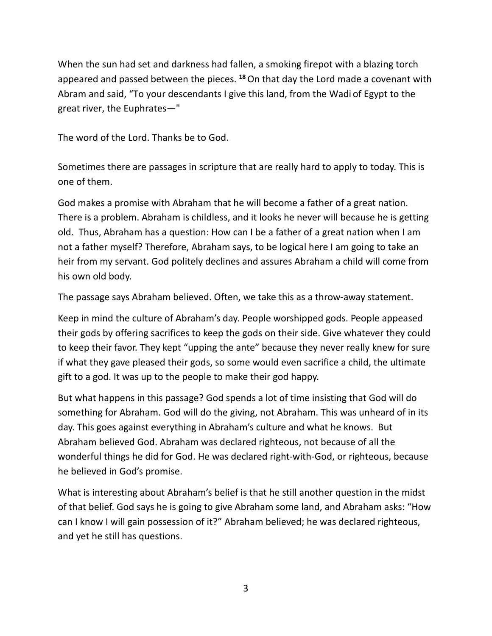When the sun had set and darkness had fallen, a smoking firepot with a blazing torch appeared and passed between the pieces. **<sup>18</sup>**On that day the Lord made a covenant with Abram and said, "To your descendants I give this land, from the Wadi of Egypt to the great river, the Euphrates—"

The word of the Lord. Thanks be to God.

Sometimes there are passages in scripture that are really hard to apply to today. This is one of them.

God makes a promise with Abraham that he will become a father of a great nation. There is a problem. Abraham is childless, and it looks he never will because he is getting old. Thus, Abraham has a question: How can I be a father of a great nation when I am not a father myself? Therefore, Abraham says, to be logical here I am going to take an heir from my servant. God politely declines and assures Abraham a child will come from his own old body.

The passage says Abraham believed. Often, we take this as a throw-away statement.

Keep in mind the culture of Abraham's day. People worshipped gods. People appeased their gods by offering sacrifices to keep the gods on their side. Give whatever they could to keep their favor. They kept "upping the ante" because they never really knew for sure if what they gave pleased their gods, so some would even sacrifice a child, the ultimate gift to a god. It was up to the people to make their god happy.

But what happens in this passage? God spends a lot of time insisting that God will do something for Abraham. God will do the giving, not Abraham. This was unheard of in its day. This goes against everything in Abraham's culture and what he knows. But Abraham believed God. Abraham was declared righteous, not because of all the wonderful things he did for God. He was declared right-with-God, or righteous, because he believed in God's promise.

What is interesting about Abraham's belief is that he still another question in the midst of that belief. God says he is going to give Abraham some land, and Abraham asks: "How can I know I will gain possession of it?" Abraham believed; he was declared righteous, and yet he still has questions.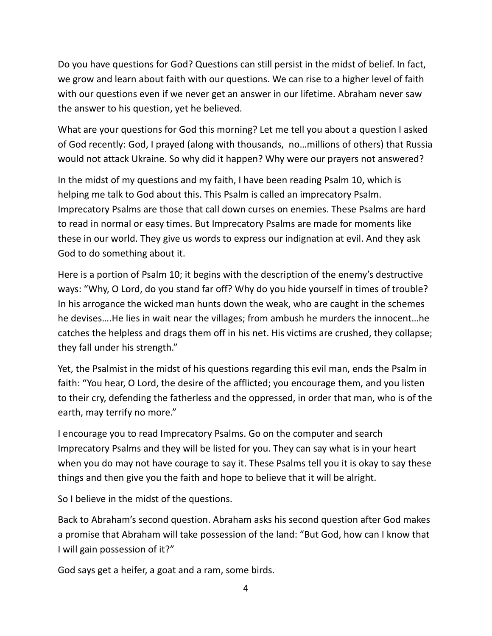Do you have questions for God? Questions can still persist in the midst of belief. In fact, we grow and learn about faith with our questions. We can rise to a higher level of faith with our questions even if we never get an answer in our lifetime. Abraham never saw the answer to his question, yet he believed.

What are your questions for God this morning? Let me tell you about a question I asked of God recently: God, I prayed (along with thousands, no…millions of others) that Russia would not attack Ukraine. So why did it happen? Why were our prayers not answered?

In the midst of my questions and my faith, I have been reading Psalm 10, which is helping me talk to God about this. This Psalm is called an imprecatory Psalm. Imprecatory Psalms are those that call down curses on enemies. These Psalms are hard to read in normal or easy times. But Imprecatory Psalms are made for moments like these in our world. They give us words to express our indignation at evil. And they ask God to do something about it.

Here is a portion of Psalm 10; it begins with the description of the enemy's destructive ways: "Why, O Lord, do you stand far off? Why do you hide yourself in times of trouble? In his arrogance the wicked man hunts down the weak, who are caught in the schemes he devises….He lies in wait near the villages; from ambush he murders the innocent…he catches the helpless and drags them off in his net. His victims are crushed, they collapse; they fall under his strength."

Yet, the Psalmist in the midst of his questions regarding this evil man, ends the Psalm in faith: "You hear, O Lord, the desire of the afflicted; you encourage them, and you listen to their cry, defending the fatherless and the oppressed, in order that man, who is of the earth, may terrify no more."

I encourage you to read Imprecatory Psalms. Go on the computer and search Imprecatory Psalms and they will be listed for you. They can say what is in your heart when you do may not have courage to say it. These Psalms tell you it is okay to say these things and then give you the faith and hope to believe that it will be alright.

So I believe in the midst of the questions.

Back to Abraham's second question. Abraham asks his second question after God makes a promise that Abraham will take possession of the land: "But God, how can I know that I will gain possession of it?"

God says get a heifer, a goat and a ram, some birds.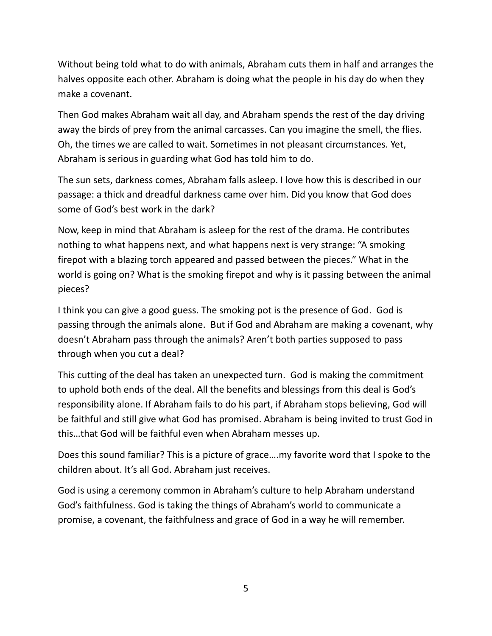Without being told what to do with animals, Abraham cuts them in half and arranges the halves opposite each other. Abraham is doing what the people in his day do when they make a covenant.

Then God makes Abraham wait all day, and Abraham spends the rest of the day driving away the birds of prey from the animal carcasses. Can you imagine the smell, the flies. Oh, the times we are called to wait. Sometimes in not pleasant circumstances. Yet, Abraham is serious in guarding what God has told him to do.

The sun sets, darkness comes, Abraham falls asleep. I love how this is described in our passage: a thick and dreadful darkness came over him. Did you know that God does some of God's best work in the dark?

Now, keep in mind that Abraham is asleep for the rest of the drama. He contributes nothing to what happens next, and what happens next is very strange: "A smoking firepot with a blazing torch appeared and passed between the pieces." What in the world is going on? What is the smoking firepot and why is it passing between the animal pieces?

I think you can give a good guess. The smoking pot is the presence of God. God is passing through the animals alone. But if God and Abraham are making a covenant, why doesn't Abraham pass through the animals? Aren't both parties supposed to pass through when you cut a deal?

This cutting of the deal has taken an unexpected turn. God is making the commitment to uphold both ends of the deal. All the benefits and blessings from this deal is God's responsibility alone. If Abraham fails to do his part, if Abraham stops believing, God will be faithful and still give what God has promised. Abraham is being invited to trust God in this…that God will be faithful even when Abraham messes up.

Does this sound familiar? This is a picture of grace….my favorite word that I spoke to the children about. It's all God. Abraham just receives.

God is using a ceremony common in Abraham's culture to help Abraham understand God's faithfulness. God is taking the things of Abraham's world to communicate a promise, a covenant, the faithfulness and grace of God in a way he will remember.